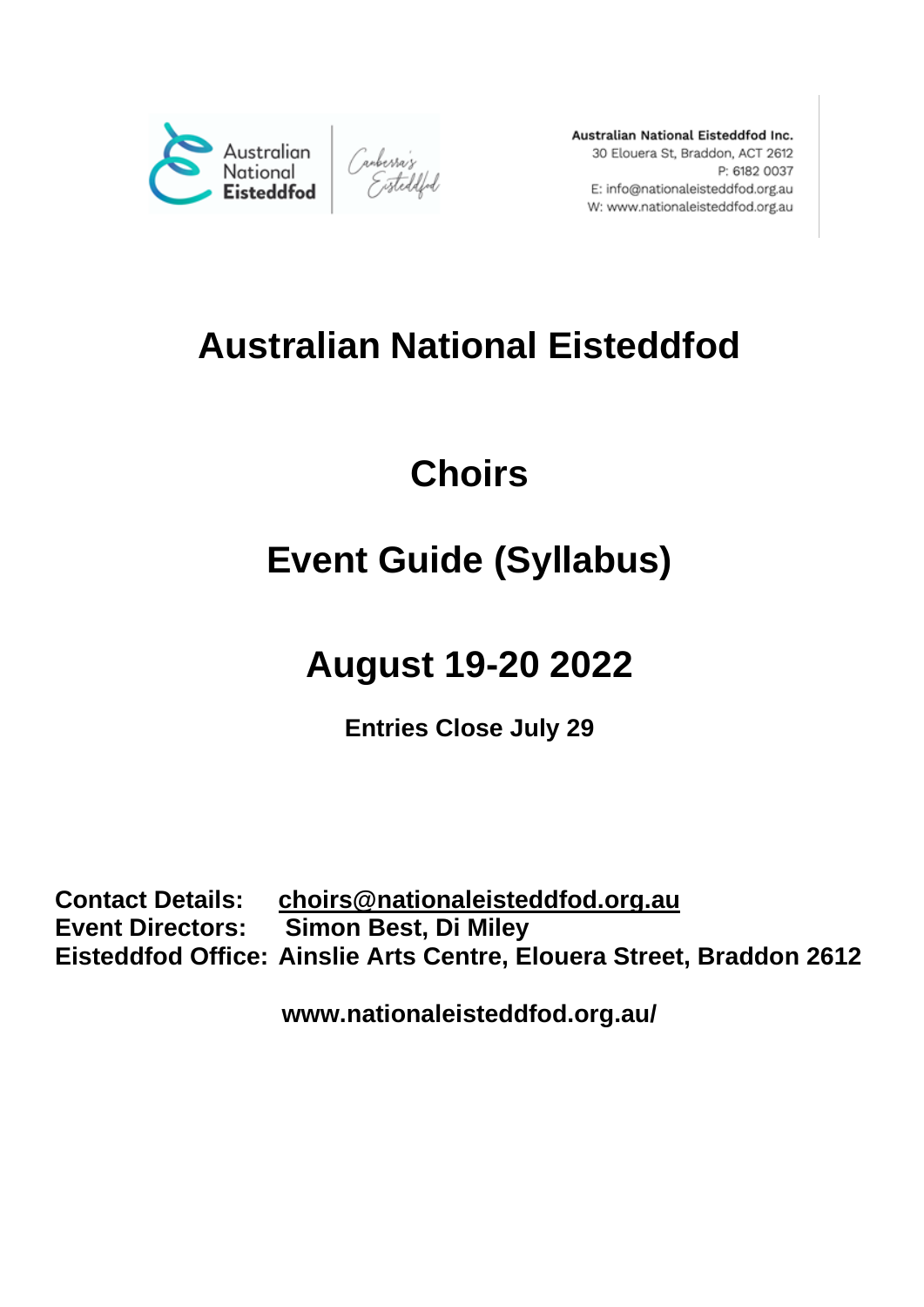

Australian National Eisteddfod Inc. 30 Elouera St, Braddon, ACT 2612 P: 6182 0037 E: info@nationaleisteddfod.org.au W: www.nationaleisteddfod.org.au

# **Australian National Eisteddfod**

# **Choirs**

# **Event Guide (Syllabus)**

# **August 19-20 2022**

**Entries Close July 29**

**Contact Details: choirs@nationaleisteddfod.org.au Event Directors: Simon Best, Di Miley Eisteddfod Office: Ainslie Arts Centre, Elouera Street, Braddon 2612**

**www.nationaleisteddfod.org.au/**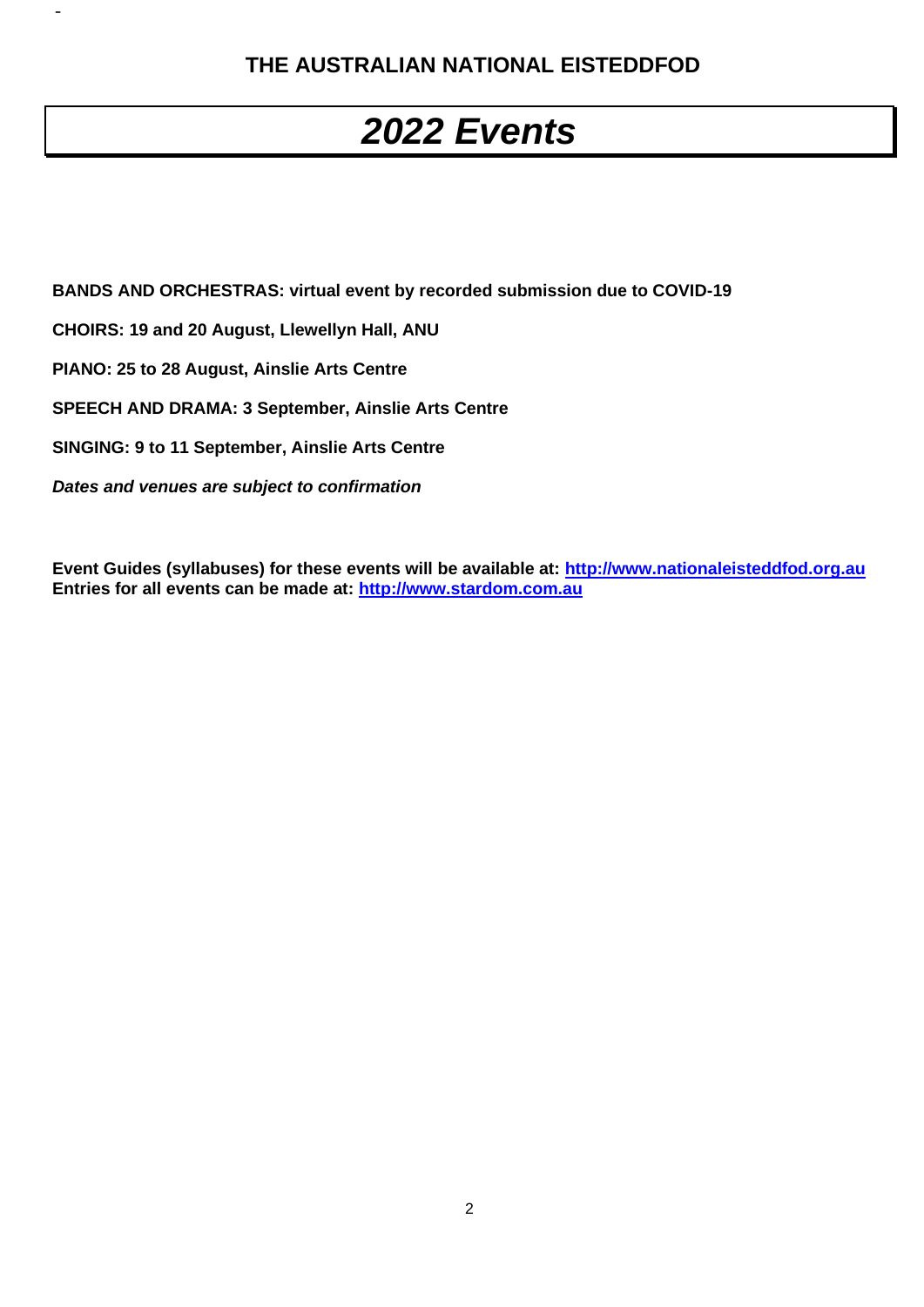## **THE AUSTRALIAN NATIONAL EISTEDDFOD**

# *2022 Events*

**BANDS AND ORCHESTRAS: virtual event by recorded submission due to COVID-19**

**CHOIRS: 19 and 20 August, Llewellyn Hall, ANU**

**PIANO: 25 to 28 August, Ainslie Arts Centre**

-

**SPEECH AND DRAMA: 3 September, Ainslie Arts Centre**

**SINGING: 9 to 11 September, Ainslie Arts Centre**

*Dates and venues are subject to confirmation*

**Event Guides (syllabuses) for these events will be available at: http://www.nationaleisteddfod.org.au Entries for all events can be made at: http://www.stardom.com.au**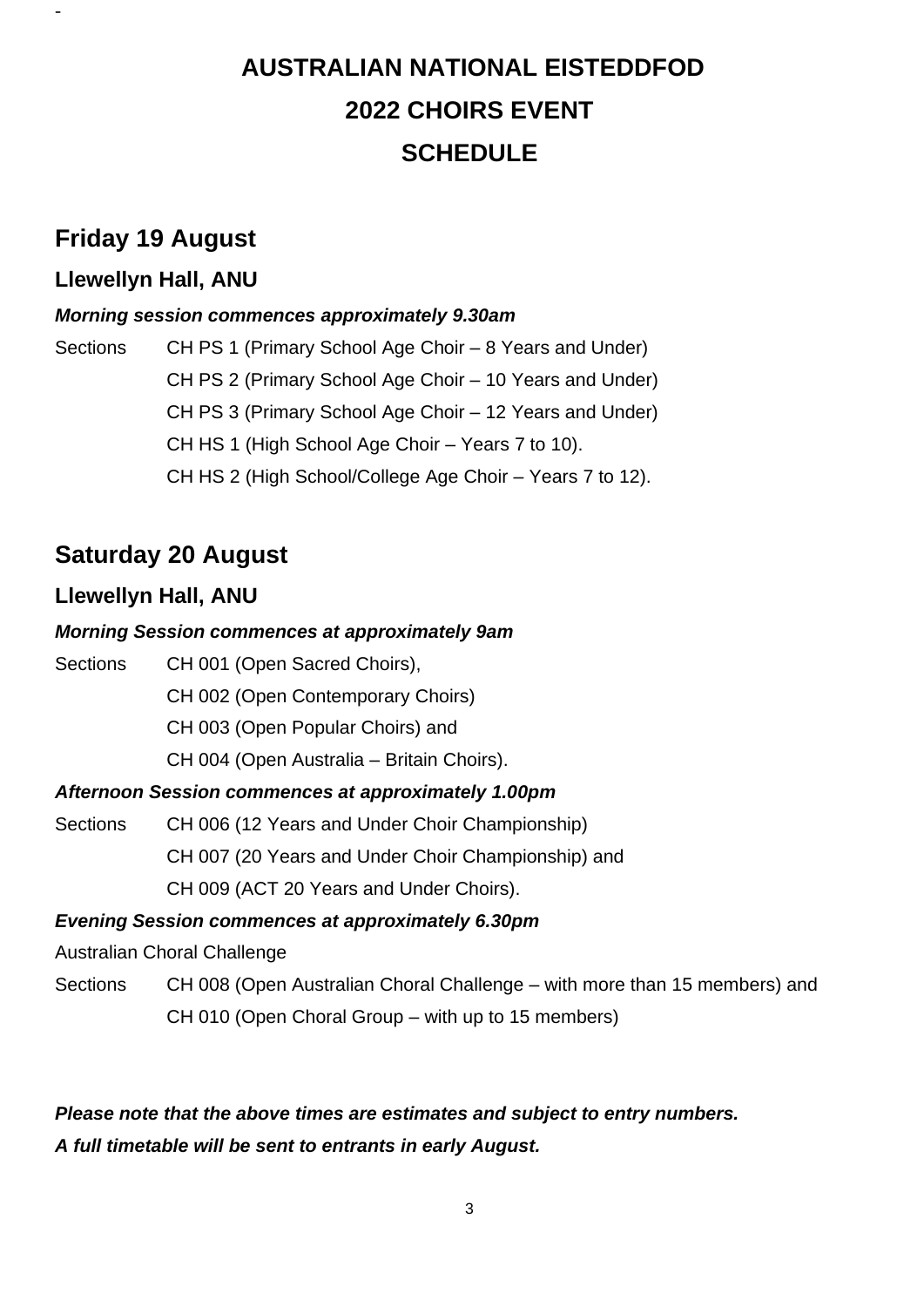# **AUSTRALIAN NATIONAL EISTEDDFOD 2022 CHOIRS EVENT SCHEDULE**

## **Friday 19 August**

-

## **Llewellyn Hall, ANU**

## *Morning session commences approximately 9.30am*

Sections CH PS 1 (Primary School Age Choir – 8 Years and Under) CH PS 2 (Primary School Age Choir – 10 Years and Under) CH PS 3 (Primary School Age Choir – 12 Years and Under) CH HS 1 (High School Age Choir – Years 7 to 10). CH HS 2 (High School/College Age Choir – Years 7 to 12).

# **Saturday 20 August**

## **Llewellyn Hall, ANU**

## *Morning Session commences at approximately 9am*

Sections CH 001 (Open Sacred Choirs), CH 002 (Open Contemporary Choirs) CH 003 (Open Popular Choirs) and CH 004 (Open Australia – Britain Choirs). *Afternoon Session commences at approximately 1.00pm*

Sections CH 006 (12 Years and Under Choir Championship) CH 007 (20 Years and Under Choir Championship) and CH 009 (ACT 20 Years and Under Choirs).

## *Evening Session commences at approximately 6.30pm*

Australian Choral Challenge

Sections CH 008 (Open Australian Choral Challenge – with more than 15 members) and CH 010 (Open Choral Group – with up to 15 members)

## *Please note that the above times are estimates and subject to entry numbers. A full timetable will be sent to entrants in early August.*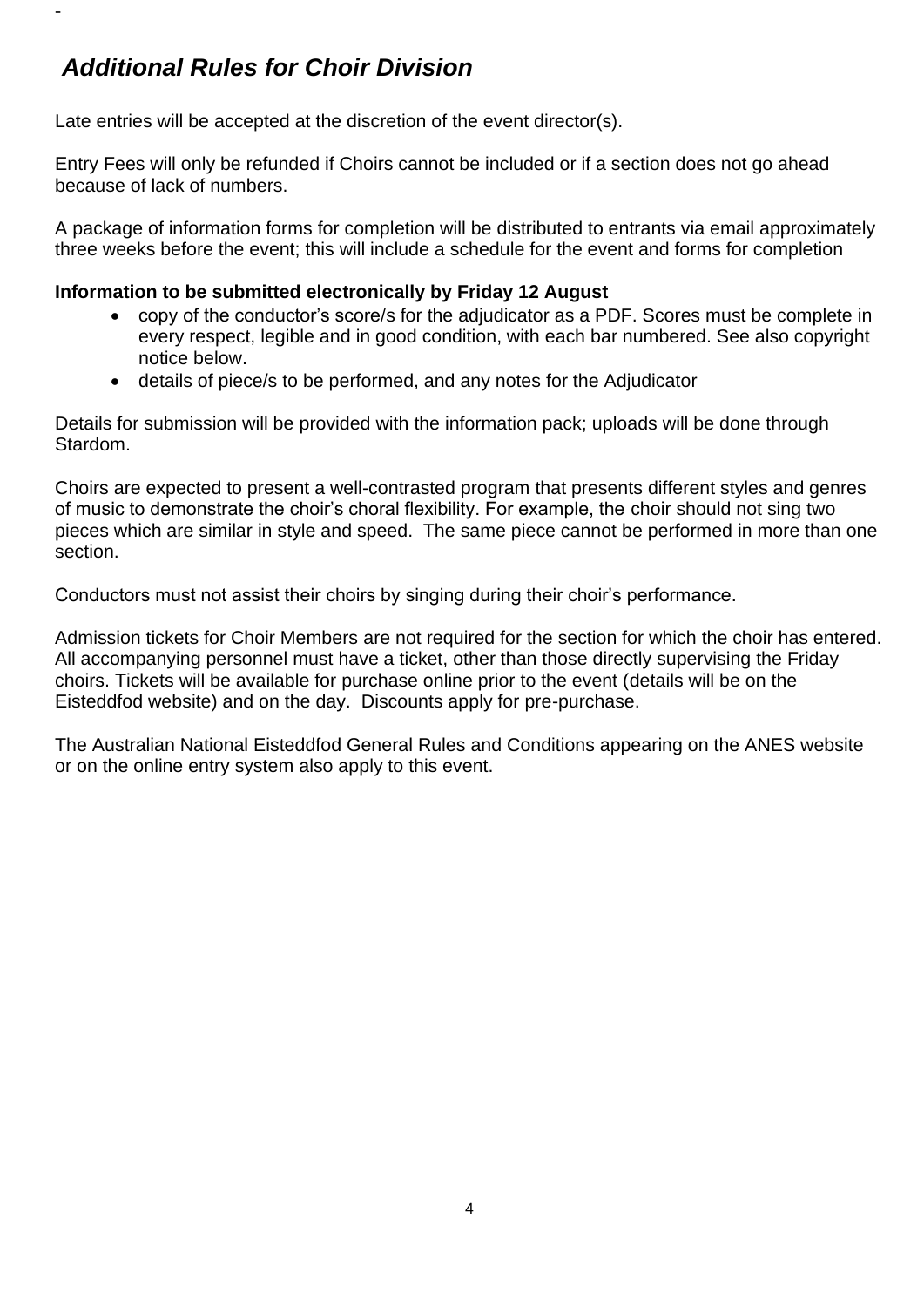# *Additional Rules for Choir Division*

-

Late entries will be accepted at the discretion of the event director(s).

Entry Fees will only be refunded if Choirs cannot be included or if a section does not go ahead because of lack of numbers.

A package of information forms for completion will be distributed to entrants via email approximately three weeks before the event; this will include a schedule for the event and forms for completion

### **Information to be submitted electronically by Friday 12 August**

- copy of the conductor's score/s for the adiudicator as a PDF. Scores must be complete in every respect, legible and in good condition, with each bar numbered. See also copyright notice below.
- details of piece/s to be performed, and any notes for the Adjudicator

Details for submission will be provided with the information pack; uploads will be done through Stardom.

Choirs are expected to present a well-contrasted program that presents different styles and genres of music to demonstrate the choir's choral flexibility. For example, the choir should not sing two pieces which are similar in style and speed. The same piece cannot be performed in more than one section.

Conductors must not assist their choirs by singing during their choir's performance.

Admission tickets for Choir Members are not required for the section for which the choir has entered. All accompanying personnel must have a ticket, other than those directly supervising the Friday choirs. Tickets will be available for purchase online prior to the event (details will be on the Eisteddfod website) and on the day. Discounts apply for pre-purchase.

The Australian National Eisteddfod General Rules and Conditions appearing on the ANES website or on the online entry system also apply to this event.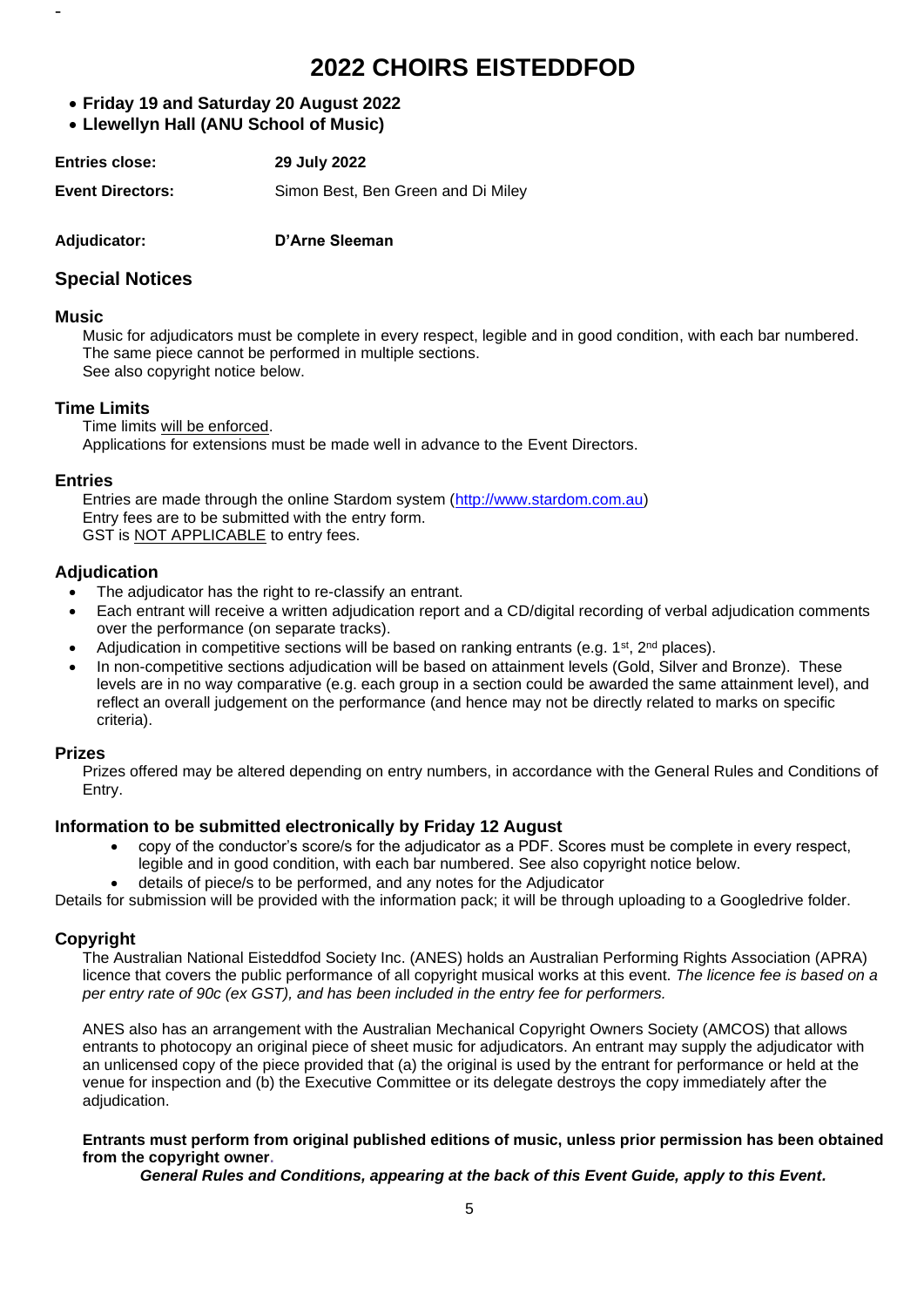# **2022 CHOIRS EISTEDDFOD**

- **Friday 19 and Saturday 20 August 2022**
- **Llewellyn Hall (ANU School of Music)**

| <b>Entries close:</b> | 29 July 2022 |
|-----------------------|--------------|
|                       | .            |

**Event Directors:** Simon Best, Ben Green and Di Miley

**Adjudicator: D'Arne Sleeman**

#### **Special Notices**

#### **Music**

-

Music for adjudicators must be complete in every respect, legible and in good condition, with each bar numbered. The same piece cannot be performed in multiple sections. See also copyright notice below.

#### **Time Limits**

Time limits will be enforced. Applications for extensions must be made well in advance to the Event Directors.

#### **Entries**

Entries are made through the online Stardom system (http://www.stardom.com.au) Entry fees are to be submitted with the entry form. GST is NOT APPLICABLE to entry fees.

#### **Adjudication**

- The adjudicator has the right to re-classify an entrant.
- Each entrant will receive a written adjudication report and a CD/digital recording of verbal adjudication comments over the performance (on separate tracks).
- Adjudication in competitive sections will be based on ranking entrants (e.g.  $1^{st}$ ,  $2^{nd}$  places).
- In non-competitive sections adjudication will be based on attainment levels (Gold, Silver and Bronze). These levels are in no way comparative (e.g. each group in a section could be awarded the same attainment level), and reflect an overall judgement on the performance (and hence may not be directly related to marks on specific criteria).

#### **Prizes**

Prizes offered may be altered depending on entry numbers, in accordance with the General Rules and Conditions of Entry.

#### **Information to be submitted electronically by Friday 12 August**

- copy of the conductor's score/s for the adjudicator as a PDF. Scores must be complete in every respect, legible and in good condition, with each bar numbered. See also copyright notice below.
- details of piece/s to be performed, and any notes for the Adjudicator

Details for submission will be provided with the information pack; it will be through uploading to a Googledrive folder.

#### **Copyright**

The Australian National Eisteddfod Society Inc. (ANES) holds an Australian Performing Rights Association (APRA) licence that covers the public performance of all copyright musical works at this event. *The licence fee is based on a per entry rate of 90c (ex GST), and has been included in the entry fee for performers.* 

ANES also has an arrangement with the Australian Mechanical Copyright Owners Society (AMCOS) that allows entrants to photocopy an original piece of sheet music for adjudicators. An entrant may supply the adjudicator with an unlicensed copy of the piece provided that (a) the original is used by the entrant for performance or held at the venue for inspection and (b) the Executive Committee or its delegate destroys the copy immediately after the adjudication.

#### **Entrants must perform from original published editions of music, unless prior permission has been obtained from the copyright owner.**

*General Rules and Conditions, appearing at the back of this Event Guide, apply to this Event.*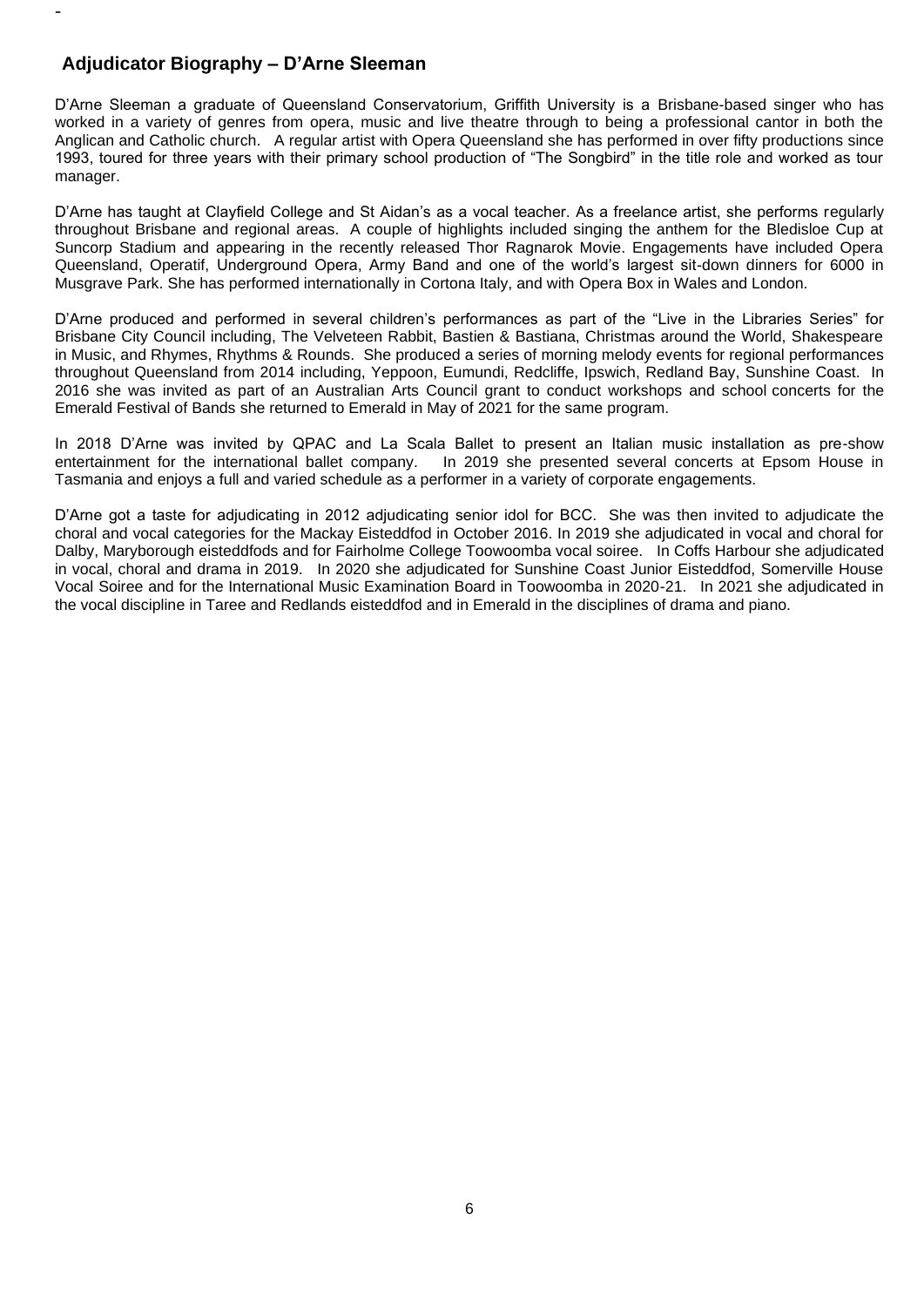#### **Adjudicator Biography – D'Arne Sleeman**

-

D'Arne Sleeman a graduate of Queensland Conservatorium, Griffith University is a Brisbane-based singer who has worked in a variety of genres from opera, music and live theatre through to being a professional cantor in both the Anglican and Catholic church. A regular artist with Opera Queensland she has performed in over fifty productions since 1993, toured for three years with their primary school production of "The Songbird" in the title role and worked as tour manager.

D'Arne has taught at Clayfield College and St Aidan's as a vocal teacher. As a freelance artist, she performs regularly throughout Brisbane and regional areas. A couple of highlights included singing the anthem for the Bledisloe Cup at Suncorp Stadium and appearing in the recently released Thor Ragnarok Movie. Engagements have included Opera Queensland, Operatif, Underground Opera, Army Band and one of the world's largest sit-down dinners for 6000 in Musgrave Park. She has performed internationally in Cortona Italy, and with Opera Box in Wales and London.

D'Arne produced and performed in several children's performances as part of the "Live in the Libraries Series" for Brisbane City Council including, The Velveteen Rabbit, Bastien & Bastiana, Christmas around the World, Shakespeare in Music, and Rhymes, Rhythms & Rounds. She produced a series of morning melody events for regional performances throughout Queensland from 2014 including, Yeppoon, Eumundi, Redcliffe, Ipswich, Redland Bay, Sunshine Coast. In 2016 she was invited as part of an Australian Arts Council grant to conduct workshops and school concerts for the Emerald Festival of Bands she returned to Emerald in May of 2021 for the same program.

In 2018 D'Arne was invited by QPAC and La Scala Ballet to present an Italian music installation as pre-show entertainment for the international ballet company. In 2019 she presented several concerts at Epsom House in Tasmania and enjoys a full and varied schedule as a performer in a variety of corporate engagements.

D'Arne got a taste for adjudicating in 2012 adjudicating senior idol for BCC. She was then invited to adjudicate the choral and vocal categories for the Mackay Eisteddfod in October 2016. In 2019 she adjudicated in vocal and choral for Dalby, Maryborough eisteddfods and for Fairholme College Toowoomba vocal soiree. In Coffs Harbour she adjudicated in vocal, choral and drama in 2019. In 2020 she adjudicated for Sunshine Coast Junior Eisteddfod, Somerville House Vocal Soiree and for the International Music Examination Board in Toowoomba in 2020-21. In 2021 she adjudicated in the vocal discipline in Taree and Redlands eisteddfod and in Emerald in the disciplines of drama and piano.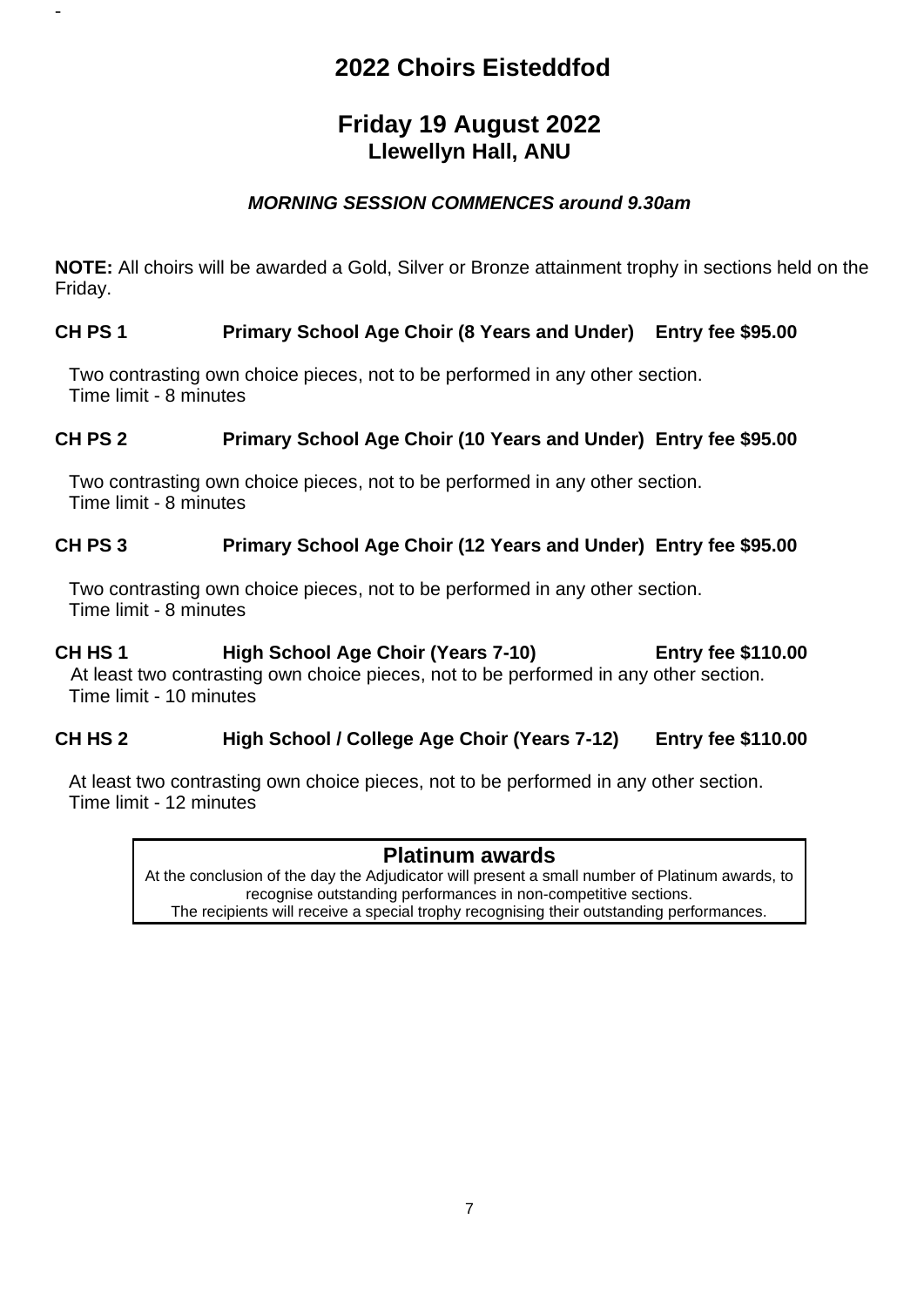# **2022 Choirs Eisteddfod**

## **Friday 19 August 2022 Llewellyn Hall, ANU**

## *MORNING SESSION COMMENCES around 9.30am*

**NOTE:** All choirs will be awarded a Gold, Silver or Bronze attainment trophy in sections held on the Friday.

### **CH PS 1 Primary School Age Choir (8 Years and Under) Entry fee \$95.00**

Two contrasting own choice pieces, not to be performed in any other section. Time limit - 8 minutes

-

### **CH PS 2 Primary School Age Choir (10 Years and Under) Entry fee \$95.00**

Two contrasting own choice pieces, not to be performed in any other section. Time limit - 8 minutes

### **CH PS 3 Primary School Age Choir (12 Years and Under) Entry fee \$95.00**

Two contrasting own choice pieces, not to be performed in any other section. Time limit - 8 minutes

## **CH HS 1 High School Age Choir (Years 7-10) Entry fee \$110.00**

 At least two contrasting own choice pieces, not to be performed in any other section. Time limit - 10 minutes

### **CH HS 2 High School / College Age Choir (Years 7-12) Entry fee \$110.00**

At least two contrasting own choice pieces, not to be performed in any other section. Time limit - 12 minutes

### **Platinum awards**

At the conclusion of the day the Adjudicator will present a small number of Platinum awards, to recognise outstanding performances in non-competitive sections. The recipients will receive a special trophy recognising their outstanding performances.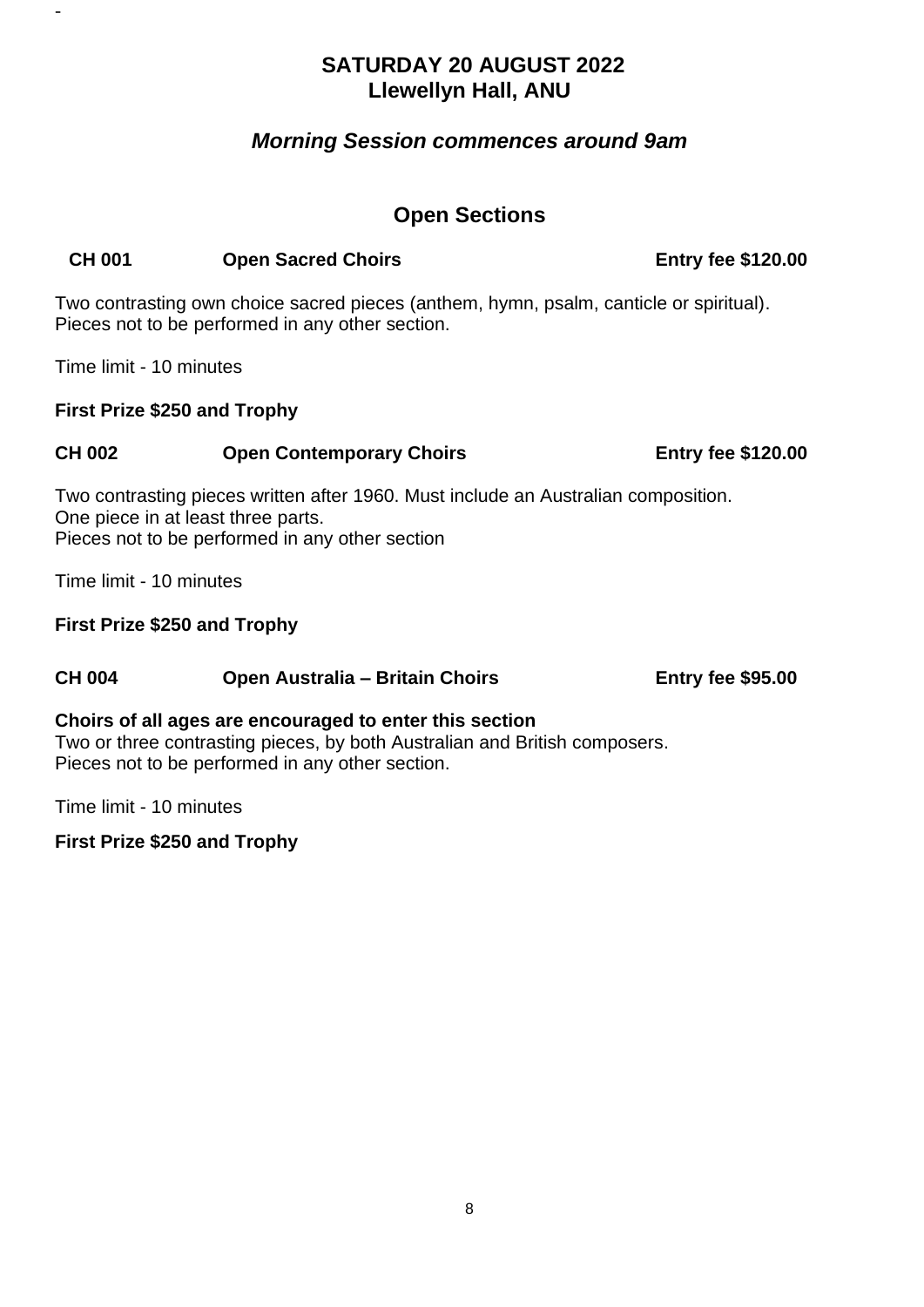## **SATURDAY 20 AUGUST 2022 Llewellyn Hall, ANU**

## *Morning Session commences around 9am*

## **Open Sections**

#### **CH 001 Open Sacred Choirs Entry fee \$120.00**

Two contrasting own choice sacred pieces (anthem, hymn, psalm, canticle or spiritual). Pieces not to be performed in any other section.

Time limit - 10 minutes

-

#### **First Prize \$250 and Trophy**

#### **CH 002 Open Contemporary Choirs Entry fee \$120.00**

Two contrasting pieces written after 1960. Must include an Australian composition. One piece in at least three parts. Pieces not to be performed in any other section

Time limit - 10 minutes

#### **First Prize \$250 and Trophy**

### **CH 004 Open Australia – Britain Choirs Entry fee \$95.00**

#### **Choirs of all ages are encouraged to enter this section**

Two or three contrasting pieces, by both Australian and British composers. Pieces not to be performed in any other section.

Time limit - 10 minutes

#### **First Prize \$250 and Trophy**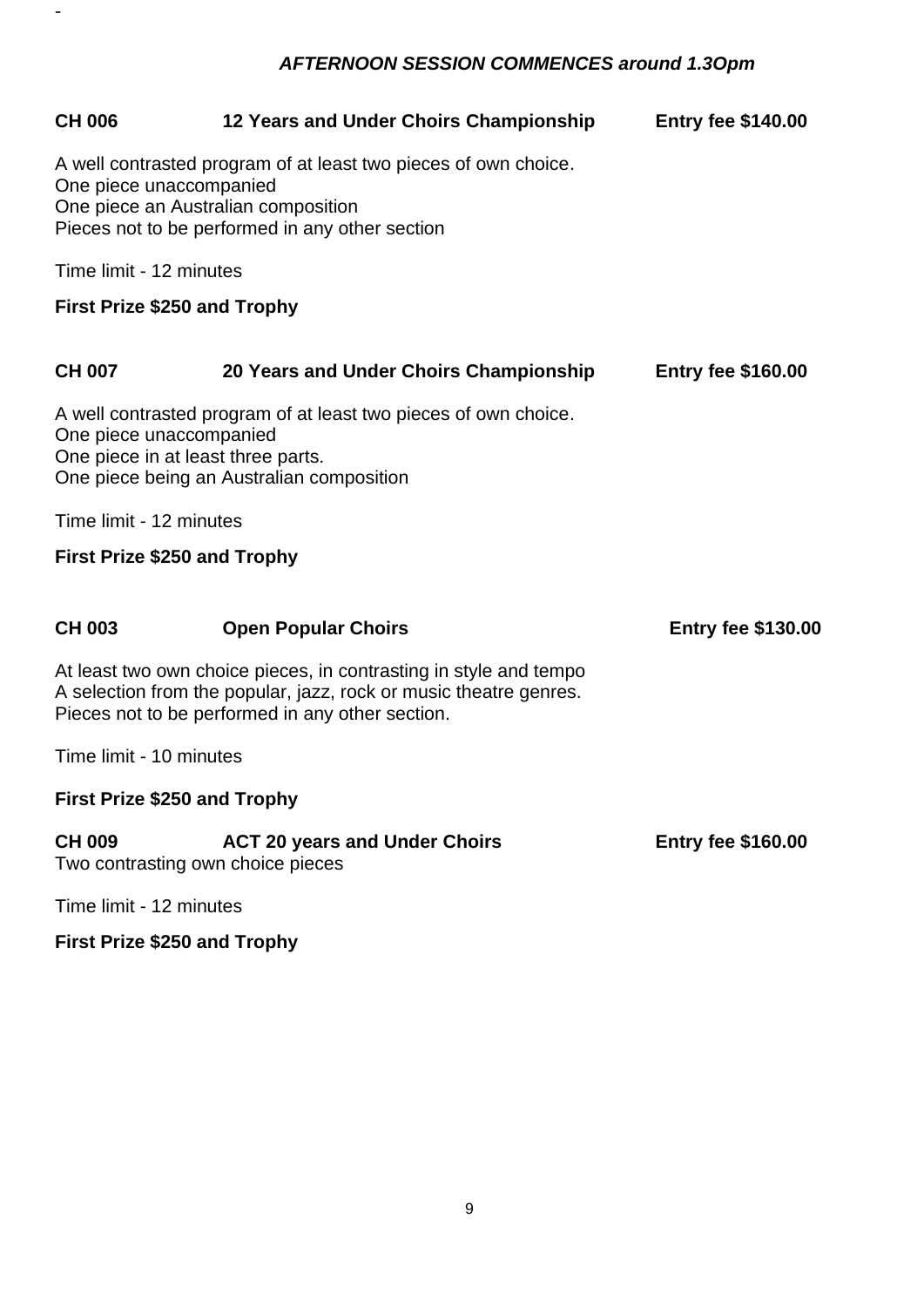## *AFTERNOON SESSION COMMENCES around 1.3Opm*

-

| <b>CH 006</b>                                                  | 12 Years and Under Choirs Championship                                                                                                                                                     | <b>Entry fee \$140.00</b> |
|----------------------------------------------------------------|--------------------------------------------------------------------------------------------------------------------------------------------------------------------------------------------|---------------------------|
| One piece unaccompanied<br>One piece an Australian composition | A well contrasted program of at least two pieces of own choice.<br>Pieces not to be performed in any other section                                                                         |                           |
| Time limit - 12 minutes                                        |                                                                                                                                                                                            |                           |
| <b>First Prize \$250 and Trophy</b>                            |                                                                                                                                                                                            |                           |
| <b>CH 007</b>                                                  | 20 Years and Under Choirs Championship                                                                                                                                                     | <b>Entry fee \$160.00</b> |
| One piece unaccompanied<br>One piece in at least three parts.  | A well contrasted program of at least two pieces of own choice.<br>One piece being an Australian composition                                                                               |                           |
| Time limit - 12 minutes                                        |                                                                                                                                                                                            |                           |
| <b>First Prize \$250 and Trophy</b>                            |                                                                                                                                                                                            |                           |
|                                                                |                                                                                                                                                                                            |                           |
| <b>CH 003</b>                                                  | <b>Open Popular Choirs</b>                                                                                                                                                                 | <b>Entry fee \$130.00</b> |
|                                                                | At least two own choice pieces, in contrasting in style and tempo<br>A selection from the popular, jazz, rock or music theatre genres.<br>Pieces not to be performed in any other section. |                           |
| Time limit - 10 minutes                                        |                                                                                                                                                                                            |                           |
| <b>First Prize \$250 and Trophy</b>                            |                                                                                                                                                                                            |                           |
| <b>CH 009</b><br>Two contrasting own choice pieces             | <b>ACT 20 years and Under Choirs</b>                                                                                                                                                       | <b>Entry fee \$160.00</b> |
| Time limit - 12 minutes                                        |                                                                                                                                                                                            |                           |
| <b>First Prize \$250 and Trophy</b>                            |                                                                                                                                                                                            |                           |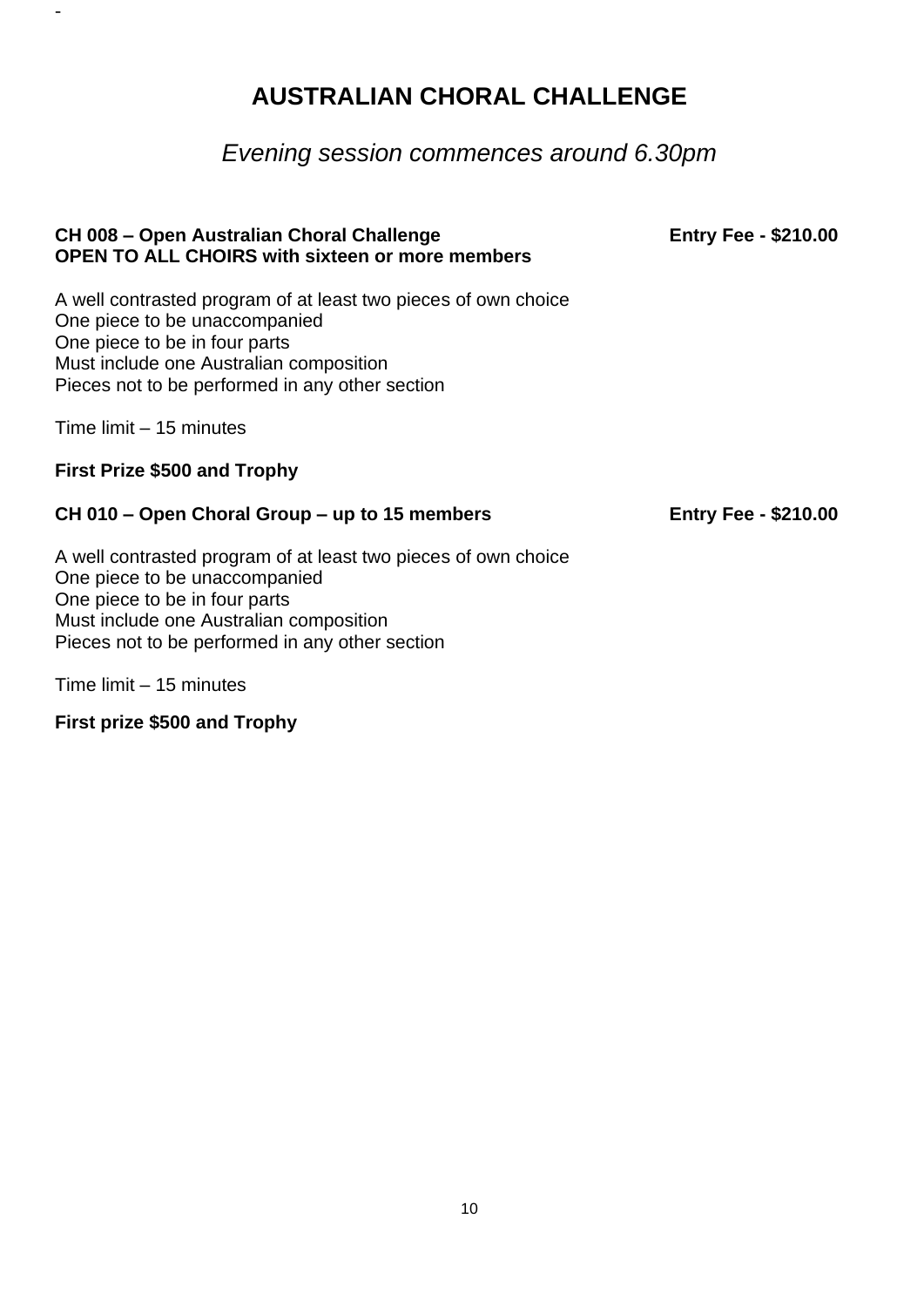# **AUSTRALIAN CHORAL CHALLENGE**

## *Evening session commences around 6.30pm*

#### **CH 008 – Open Australian Choral Challenge Entry Fee - \$210.00 OPEN TO ALL CHOIRS with sixteen or more members**

A well contrasted program of at least two pieces of own choice One piece to be unaccompanied One piece to be in four parts Must include one Australian composition Pieces not to be performed in any other section

Time limit – 15 minutes

-

#### **First Prize \$500 and Trophy**

#### **CH 010 – Open Choral Group – up to 15 members Entry Fee - \$210.00**

A well contrasted program of at least two pieces of own choice One piece to be unaccompanied One piece to be in four parts Must include one Australian composition Pieces not to be performed in any other section

Time limit – 15 minutes

**First prize \$500 and Trophy**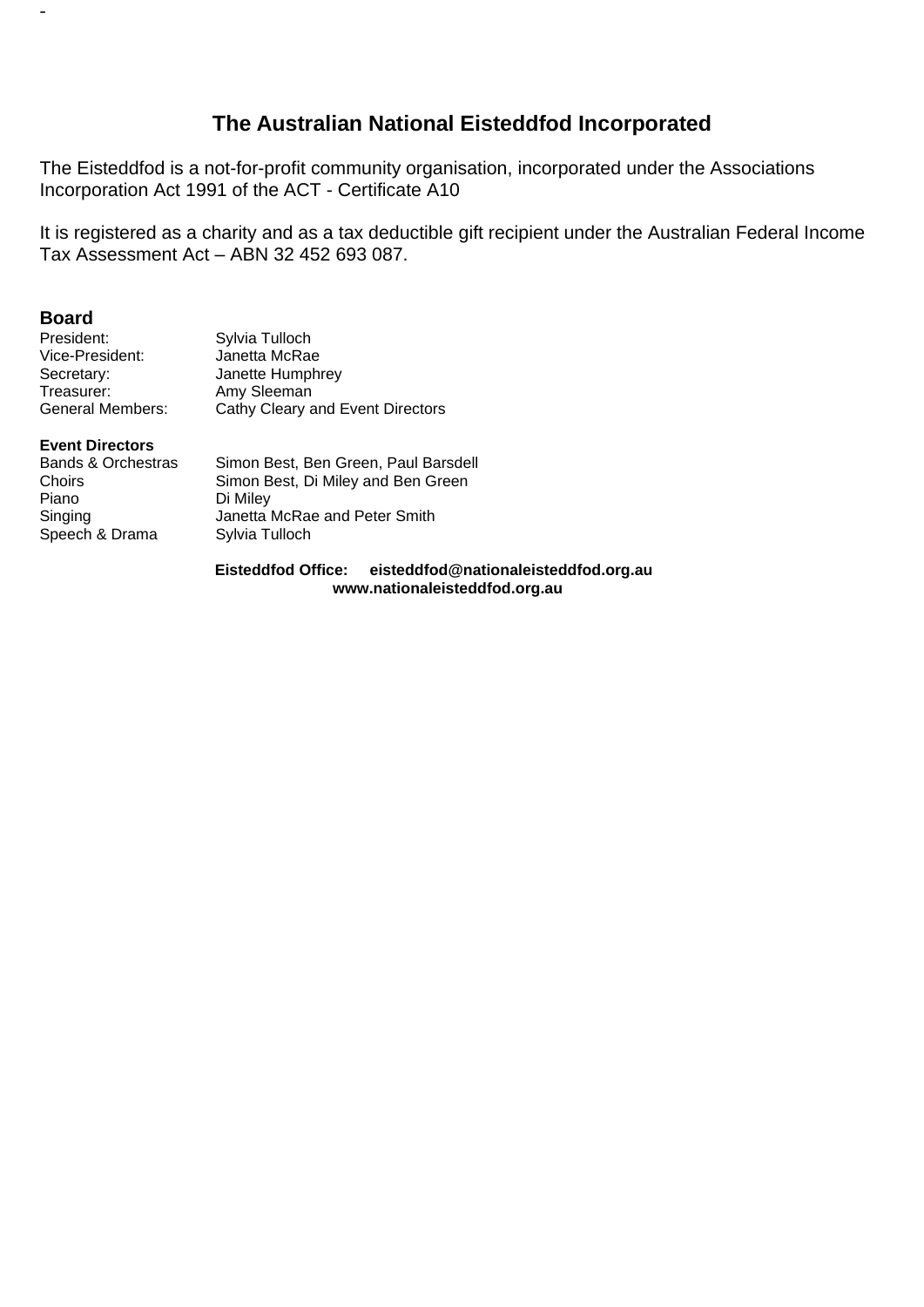## **The Australian National Eisteddfod Incorporated**

The Eisteddfod is a not-for-profit community organisation, incorporated under the Associations Incorporation Act 1991 of the ACT - Certificate A10

It is registered as a charity and as a tax deductible gift recipient under the Australian Federal Income Tax Assessment Act – ABN 32 452 693 087.

#### **Board**

-

| President:       | Sylvia Tulloch                   |
|------------------|----------------------------------|
| Vice-President:  | Janetta McRae                    |
| Secretary:       | Janette Humphrey                 |
| Treasurer:       | Amy Sleeman                      |
| General Members: | Cathy Cleary and Event Directors |

#### **Event Directors**

| Bands & Orchestras | Simon Best, Ben Green, Paul Barsdell |
|--------------------|--------------------------------------|
| Choirs             | Simon Best, Di Miley and Ben Green   |
| Piano              | Di Miley                             |
| Singing            | Janetta McRae and Peter Smith        |
| Speech & Drama     | Sylvia Tulloch                       |

**Eisteddfod Office: eisteddfod@nationaleisteddfod.org.au www.nationaleisteddfod.org.au**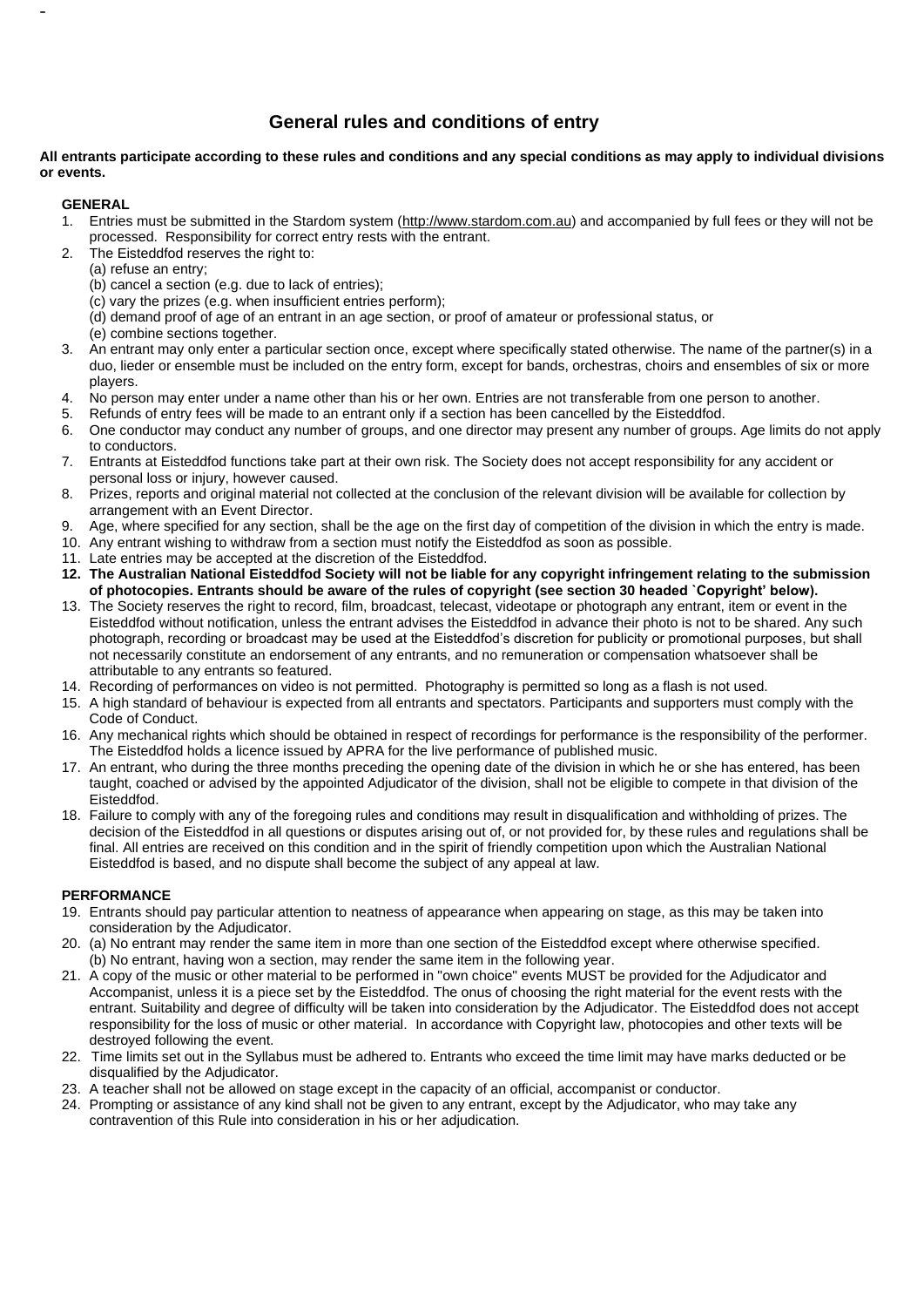#### **General rules and conditions of entry**

#### **All entrants participate according to these rules and conditions and any special conditions as may apply to individual divisions or events.**

#### **GENERAL**

-

- 1. Entries must be submitted in the Stardom system (http://www.stardom.com.au) and accompanied by full fees or they will not be processed. Responsibility for correct entry rests with the entrant.
- 2. The Eisteddfod reserves the right to:
	- (a) refuse an entry;
	- (b) cancel a section (e.g. due to lack of entries);
	- (c) vary the prizes (e.g. when insufficient entries perform);
	- (d) demand proof of age of an entrant in an age section, or proof of amateur or professional status, or
	- (e) combine sections together.
- 3. An entrant may only enter a particular section once, except where specifically stated otherwise. The name of the partner(s) in a duo, lieder or ensemble must be included on the entry form, except for bands, orchestras, choirs and ensembles of six or more players.
- 4. No person may enter under a name other than his or her own. Entries are not transferable from one person to another.
- 5. Refunds of entry fees will be made to an entrant only if a section has been cancelled by the Eisteddfod.
- 6. One conductor may conduct any number of groups, and one director may present any number of groups. Age limits do not apply to conductors.
- 7. Entrants at Eisteddfod functions take part at their own risk. The Society does not accept responsibility for any accident or personal loss or injury, however caused.
- 8. Prizes, reports and original material not collected at the conclusion of the relevant division will be available for collection by arrangement with an Event Director.
- 9. Age, where specified for any section, shall be the age on the first day of competition of the division in which the entry is made.
- 10. Any entrant wishing to withdraw from a section must notify the Eisteddfod as soon as possible.
- 11. Late entries may be accepted at the discretion of the Eisteddfod.
- **12. The Australian National Eisteddfod Society will not be liable for any copyright infringement relating to the submission of photocopies. Entrants should be aware of the rules of copyright (see section 30 headed `Copyright' below).**
- 13. The Society reserves the right to record, film, broadcast, telecast, videotape or photograph any entrant, item or event in the Eisteddfod without notification, unless the entrant advises the Eisteddfod in advance their photo is not to be shared. Any such photograph, recording or broadcast may be used at the Eisteddfod's discretion for publicity or promotional purposes, but shall not necessarily constitute an endorsement of any entrants, and no remuneration or compensation whatsoever shall be attributable to any entrants so featured.
- 14. Recording of performances on video is not permitted. Photography is permitted so long as a flash is not used.
- 15. A high standard of behaviour is expected from all entrants and spectators. Participants and supporters must comply with the Code of Conduct.
- 16. Any mechanical rights which should be obtained in respect of recordings for performance is the responsibility of the performer. The Eisteddfod holds a licence issued by APRA for the live performance of published music.
- 17. An entrant, who during the three months preceding the opening date of the division in which he or she has entered, has been taught, coached or advised by the appointed Adjudicator of the division, shall not be eligible to compete in that division of the Eisteddfod.
- 18. Failure to comply with any of the foregoing rules and conditions may result in disqualification and withholding of prizes. The decision of the Eisteddfod in all questions or disputes arising out of, or not provided for, by these rules and regulations shall be final. All entries are received on this condition and in the spirit of friendly competition upon which the Australian National Eisteddfod is based, and no dispute shall become the subject of any appeal at law.

#### **PERFORMANCE**

- 19. Entrants should pay particular attention to neatness of appearance when appearing on stage, as this may be taken into consideration by the Adjudicator.
- 20. (a) No entrant may render the same item in more than one section of the Eisteddfod except where otherwise specified. (b) No entrant, having won a section, may render the same item in the following year.
- 21. A copy of the music or other material to be performed in "own choice" events MUST be provided for the Adjudicator and Accompanist, unless it is a piece set by the Eisteddfod. The onus of choosing the right material for the event rests with the entrant. Suitability and degree of difficulty will be taken into consideration by the Adjudicator. The Eisteddfod does not accept responsibility for the loss of music or other material. In accordance with Copyright law, photocopies and other texts will be destroyed following the event.
- 22. Time limits set out in the Syllabus must be adhered to. Entrants who exceed the time limit may have marks deducted or be disqualified by the Adjudicator.
- 23. A teacher shall not be allowed on stage except in the capacity of an official, accompanist or conductor.
- 24. Prompting or assistance of any kind shall not be given to any entrant, except by the Adjudicator, who may take any contravention of this Rule into consideration in his or her adjudication.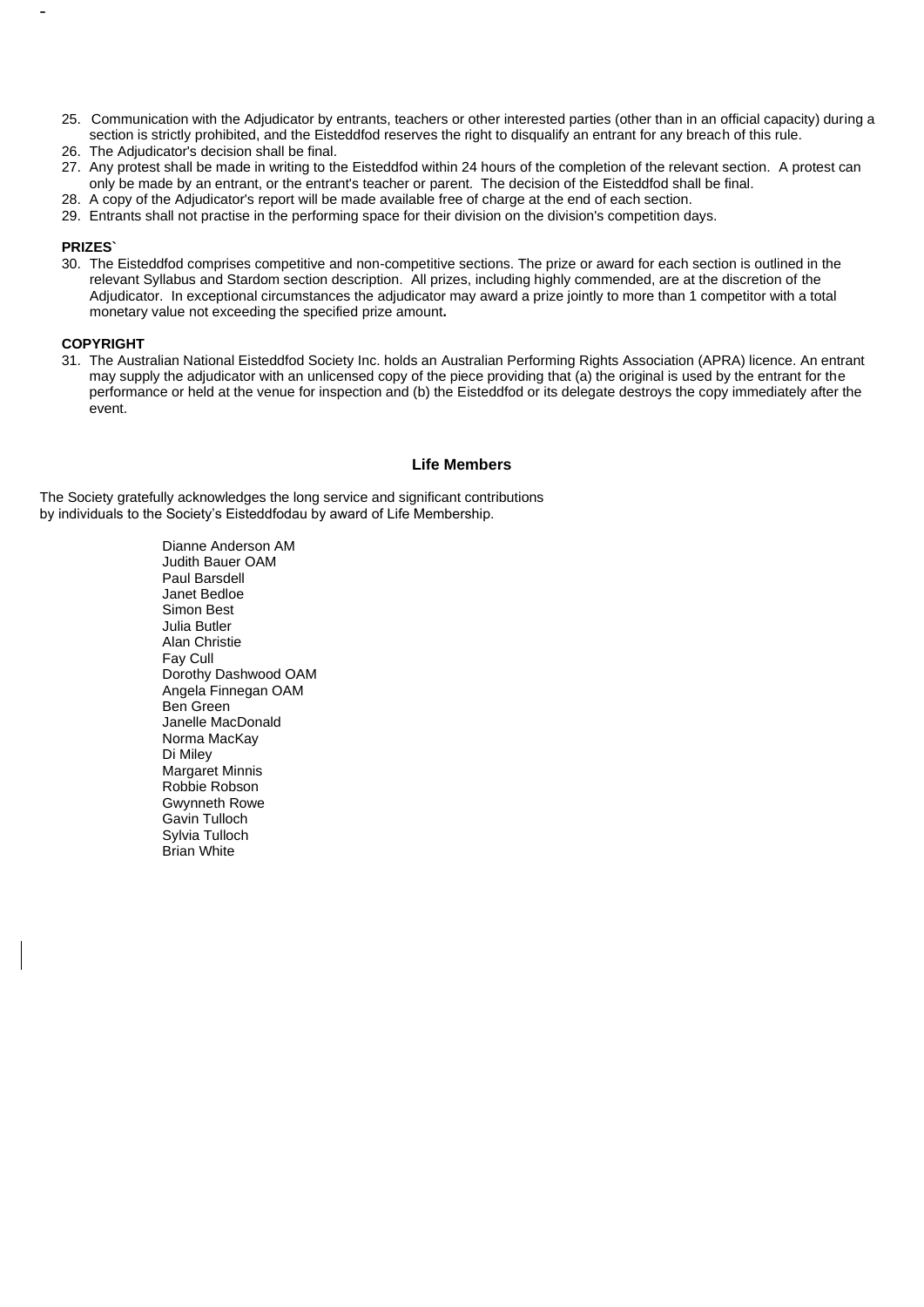- 25. Communication with the Adjudicator by entrants, teachers or other interested parties (other than in an official capacity) during a section is strictly prohibited, and the Eisteddfod reserves the right to disqualify an entrant for any breach of this rule.
- 26. The Adjudicator's decision shall be final.
- 27. Any protest shall be made in writing to the Eisteddfod within 24 hours of the completion of the relevant section.A protest can only be made by an entrant, or the entrant's teacher or parent. The decision of the Eisteddfod shall be final.
- 28. A copy of the Adjudicator's report will be made available free of charge at the end of each section.
- 29. Entrants shall not practise in the performing space for their division on the division's competition days.

#### **PRIZES`**

-

30. The Eisteddfod comprises competitive and non-competitive sections. The prize or award for each section is outlined in the relevant Syllabus and Stardom section description. All prizes, including highly commended, are at the discretion of the Adjudicator. In exceptional circumstances the adjudicator may award a prize jointly to more than 1 competitor with a total monetary value not exceeding the specified prize amount**.**

#### **COPYRIGHT**

31. The Australian National Eisteddfod Society Inc. holds an Australian Performing Rights Association (APRA) licence. An entrant may supply the adjudicator with an unlicensed copy of the piece providing that (a) the original is used by the entrant for the performance or held at the venue for inspection and (b) the Eisteddfod or its delegate destroys the copy immediately after the event.

#### **Life Members**

The Society gratefully acknowledges the long service and significant contributions by individuals to the Society's Eisteddfodau by award of Life Membership.

> Dianne Anderson AM Judith Bauer OAM Paul Barsdell Janet Bedloe Simon Best Julia Butler Alan Christie Fay Cull Dorothy Dashwood OAM Angela Finnegan OAM Ben Green Janelle MacDonald Norma MacKay Di Miley Margaret Minnis Robbie Robson Gwynneth Rowe Gavin Tulloch Sylvia Tulloch Brian White